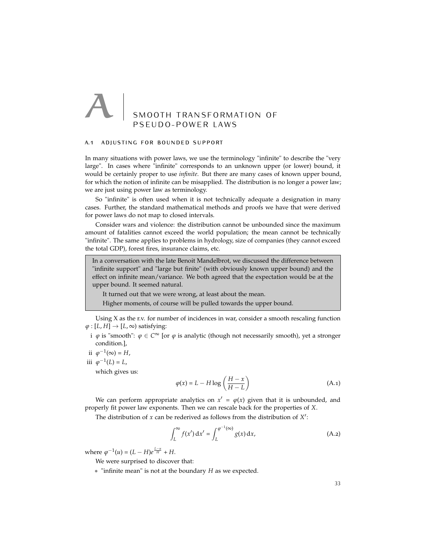# SMOOTH TRANSFORMATION OF PSEUDO-POWER LAWS

### a.1 adjusting for bounded support

In many situations with power laws, we use the terminology "infinite" to describe the "very large". In cases where "infinite" corresponds to an unknown upper (or lower) bound, it would be certainly proper to use *infinite*. But there are many cases of known upper bound, for which the notion of infinite can be misapplied. The distribution is no longer a power law; we are just using power law as terminology.

So "infinite" is often used when it is not technically adequate a designation in many cases. Further, the standard mathematical methods and proofs we have that were derived for power laws do not map to closed intervals.

Consider wars and violence: the distribution cannot be unbounded since the maximum amount of fatalities cannot exceed the world population; the mean cannot be technically "infinite". The same applies to problems in hydrology, size of companies (they cannot exceed the total GDP), forest fires, insurance claims, etc.

In a conversation with the late Benoit Mandelbrot, we discussed the difference between "infinite support" and "large but finite" (with obviously known upper bound) and the effect on infinite mean/variance. We both agreed that the expectation would be at the upper bound. It seemed natural.

It turned out that we were wrong, at least about the mean.

Higher moments, of course will be pulled towards the upper bound.

Using X as the r.v. for number of incidences in war, consider a smooth rescaling function  $\varphi$  : [*L*, *H*]  $\rightarrow$  [*L*,  $\infty$ ) satisfying:

- i  $\varphi$  is "smooth":  $\varphi \in C^{\infty}$  [or  $\varphi$  is analytic (though not necessarily smooth), yet a stronger condition.],
- ii  $\varphi^{-1}(\infty) = H$ ,
- iii  $\varphi^{-1}(L) = L$ ,

which gives us:

$$
\varphi(x) = L - H \log \left( \frac{H - x}{H - L} \right) \tag{A.1}
$$

We can perform appropriate analytics on  $x' = \varphi(x)$  given that it is unbounded, and properly fit power law exponents. Then we can rescale back for the properties of *X*.

The distribution of *x* can be rederived as follows from the distribution of *X*′ :

$$
\int_{L}^{\infty} f(x') dx' = \int_{L}^{\varphi^{-1}(\infty)} g(x) dx,
$$
\n(A.2)

where  $\varphi^{-1}(u) = (L - H)e^{\frac{L - u}{H}} + H$ .

We were surprised to discover that:

• "infinite mean" is not at the boundary *H* as we expected.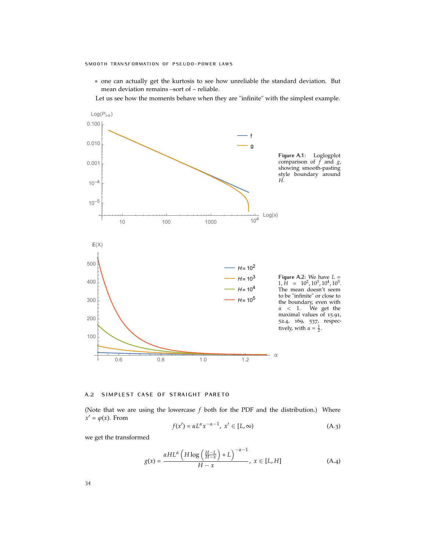- one can actually get the kurtosis to see how unreliable the standard deviation. But mean deviation remains –sort of – reliable.
- Let us see how the moments behave when they are "infinite" with the simplest example.



#### a.2 simplest case of straight pareto

(Note that we are using the lowercase *f* both for the PDF and the distribution.) Where  $x' = \varphi(x)$ . From

$$
f(x') = \alpha L^{\alpha} x^{-\alpha - 1}, \ x' \in [L, \infty)
$$
 (A.3)

we get the transformed

$$
g(x) = \frac{\alpha HL^{\alpha} \left( H \log \left( \frac{H-L}{H-x} \right) + L \right)^{-\alpha - 1}}{H - x}, \ x \in [L, H] \tag{A.4}
$$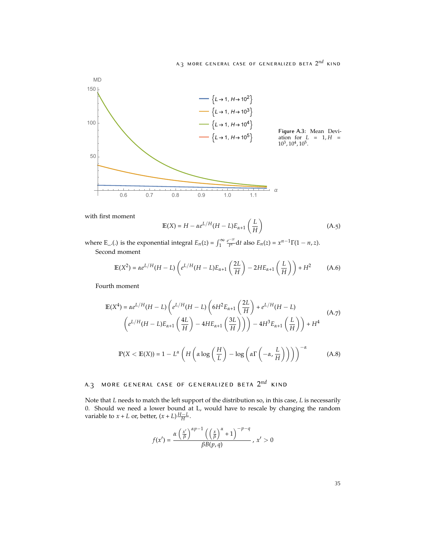

with first moment

$$
\mathbb{E}(X) = H - \alpha e^{L/H} (H - L) E_{\alpha+1} \left(\frac{L}{H}\right)
$$
 (A.5)

where E\_.(.) is the exponential integral  $E_n(z) = \int_1^\infty \frac{e^{-zt}}{t^n} dt$  also  $E_n(z) = x^{n-1}\Gamma(1-n,z)$ . Second moment

$$
\mathbb{E}(X^2) = \alpha e^{L/H}(H - L) \left( e^{L/H}(H - L)E_{\alpha+1} \left( \frac{2L}{H} \right) - 2HE_{\alpha+1} \left( \frac{L}{H} \right) \right) + H^2 \tag{A.6}
$$

Fourth moment

$$
\mathbb{E}(X^4) = \alpha e^{L/H}(H - L) \left( e^{L/H}(H - L) \left( 6H^2 E_{\alpha+1} \left( \frac{2L}{H} \right) + e^{L/H}(H - L) \right) \left( A \cdot 7 \right) \right)
$$
\n
$$
\left( e^{L/H}(H - L) E_{\alpha+1} \left( \frac{4L}{H} \right) - 4H E_{\alpha+1} \left( \frac{3L}{H} \right) \right) \right) - 4H^3 E_{\alpha+1} \left( \frac{L}{H} \right) + H^4
$$
\n
$$
\mathbb{P}(X < \mathbb{E}(X)) = 1 - L^{\alpha} \left( H \left( \alpha \log \left( \frac{H}{L} \right) - \log \left( \alpha \Gamma \left( -\alpha, \frac{L}{H} \right) \right) \right) \right)^{-\alpha} \tag{A.8}
$$

## <sup>a</sup>.<sup>3</sup> more general case of generalized beta <sup>2</sup>*nd* kind

Note that *L* needs to match the left support of the distribution so, in this case, *L* is necessarily 0. Should we need a lower bound at L, would have to rescale by changing the random variable to *x* + *L* or, better,  $(x + L) \frac{H - L}{H}$ .

$$
f(x') = \frac{\alpha \left(\frac{x'}{\beta}\right)^{\alpha p-1} \left(\left(\frac{x}{\beta}\right)^{\alpha} + 1\right)^{-p-q}}{\beta B(p,q)}, \ x' > 0
$$